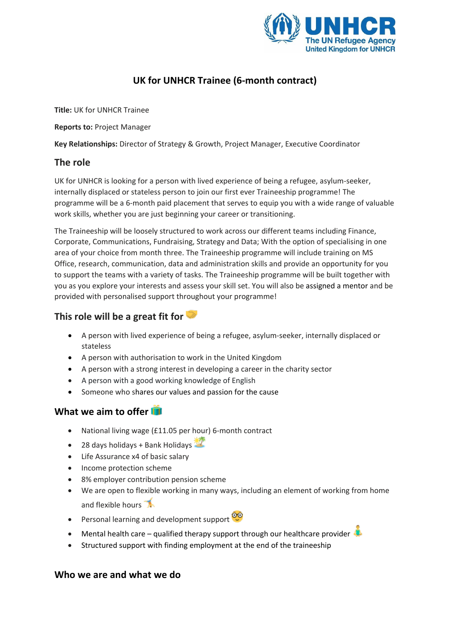

# **UK for UNHCR Trainee (6-month contract)**

**Title:** UK for UNHCR Trainee

**Reports to:** Project Manager

**Key Relationships:** Director of Strategy & Growth, Project Manager, Executive Coordinator

#### **The role**

UK for UNHCR is looking for a person with lived experience of being a refugee, asylum-seeker, internally displaced or stateless person to join our first ever Traineeship programme! The programme will be a 6-month paid placement that serves to equip you with a wide range of valuable work skills, whether you are just beginning your career or transitioning.

The Traineeship will be loosely structured to work across our different teams including Finance, Corporate, Communications, Fundraising, Strategy and Data; With the option of specialising in one area of your choice from month three. The Traineeship programme will include training on MS Office, research, communication, data and administration skills and provide an opportunity for you to support the teams with a variety of tasks. The Traineeship programme will be built together with you as you explore your interests and assess your skill set. You will also be assigned a mentor and be provided with personalised support throughout your programme!

### **This role will be a great fit for**

- A person with lived experience of being a refugee, asylum-seeker, internally displaced or stateless
- A person with authorisation to work in the United Kingdom
- A person with a strong interest in developing a career in the charity sector
- A person with a good working knowledge of English
- Someone who shares our values and passion for the cause

### **What we aim to offer**

- National living wage (£11.05 per hour) 6-month contract
- $\bullet$  28 days holidays + Bank Holidays
- Life Assurance x4 of basic salary
- Income protection scheme
- 8% employer contribution pension scheme
- We are open to flexible working in many ways, including an element of working from home and flexible hours  $\mathbb{R}$
- Personal learning and development support <sup>oro</sup>
- Mental health care qualified therapy support through our healthcare provider
- Structured support with finding employment at the end of the traineeship

#### **Who we are and what we do**